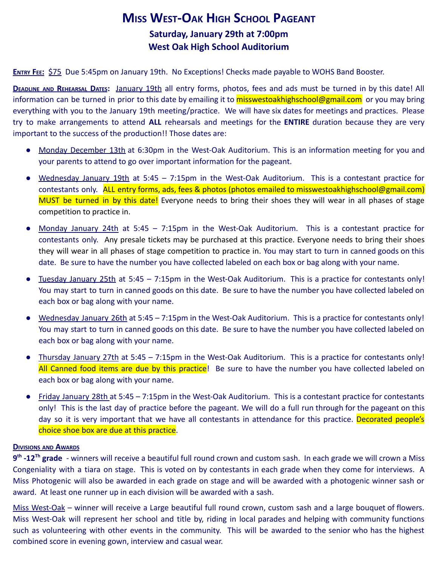# **MISS WEST-OAK HIGH SCHOOL PAGEANT Saturday, January 29th at 7:00pm West Oak High School Auditorium**

**ENTRY FEE:** \$75 Due 5:45pm on January 19th. No Exceptions! Checks made payable to WOHS Band Booster.

**DEADLINE AND REHEARSAL DATES:** January 19th all entry forms, photos, fees and ads must be turned in by this date! All information can be turned in prior to this date by emailing it to **misswestoakhighschool@gmail.com** or you may bring everything with you to the January 19th meeting/practice. We will have six dates for meetings and practices. Please try to make arrangements to attend **ALL** rehearsals and meetings for the **ENTIRE** duration because they are very important to the success of the production!! Those dates are:

- Monday December 13th at 6:30pm in the West-Oak Auditorium. This is an information meeting for you and your parents to attend to go over important information for the pageant.
- Wednesday January 19th at 5:45 7:15pm in the West-Oak Auditorium. This is a contestant practice for contestants only. ALL entry forms, ads, fees & photos (photos emailed to misswestoakhighschool@gmail.com) MUST be turned in by this date! Everyone needs to bring their shoes they will wear in all phases of stage competition to practice in.
- Monday January 24th at 5:45 7:15pm in the West-Oak Auditorium. This is a contestant practice for contestants only. Any presale tickets may be purchased at this practice. Everyone needs to bring their shoes they will wear in all phases of stage competition to practice in. You may start to turn in canned goods on this date. Be sure to have the number you have collected labeled on each box or bag along with your name.
- Tuesday January 25th at 5:45 7:15pm in the West-Oak Auditorium. This is a practice for contestants only! You may start to turn in canned goods on this date. Be sure to have the number you have collected labeled on each box or bag along with your name.
- Wednesday January 26th at 5:45 7:15pm in the West-Oak Auditorium. This is a practice for contestants only! You may start to turn in canned goods on this date. Be sure to have the number you have collected labeled on each box or bag along with your name.
- Thursday January 27th at 5:45 7:15pm in the West-Oak Auditorium. This is a practice for contestants only! All Canned food items are due by this practice! Be sure to have the number you have collected labeled on each box or bag along with your name.
- Friday January 28th at 5:45 7:15pm in the West-Oak Auditorium. This is a contestant practice for contestants only! This is the last day of practice before the pageant. We will do a full run through for the pageant on this day so it is very important that we have all contestants in attendance for this practice. Decorated people's choice shoe box are due at this practice.

#### **DIVISIONS AND AWARDS**

**9 th -12Th grade** - winners will receive a beautiful full round crown and custom sash. In each grade we will crown a Miss Congeniality with a tiara on stage. This is voted on by contestants in each grade when they come for interviews. A Miss Photogenic will also be awarded in each grade on stage and will be awarded with a photogenic winner sash or award. At least one runner up in each division will be awarded with a sash.

Miss West-Oak – winner will receive a Large beautiful full round crown, custom sash and a large bouquet of flowers. Miss West-Oak will represent her school and title by, riding in local parades and helping with community functions such as volunteering with other events in the community. This will be awarded to the senior who has the highest combined score in evening gown, interview and casual wear.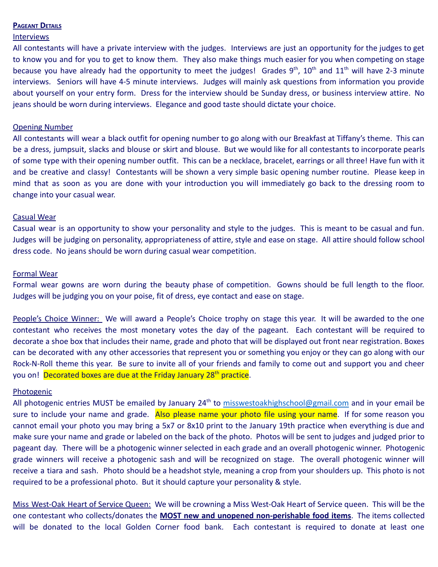#### **PAGEANT DETAILS**

#### **Interviews**

All contestants will have a private interview with the judges. Interviews are just an opportunity for the judges to get to know you and for you to get to know them. They also make things much easier for you when competing on stage because you have already had the opportunity to meet the judges! Grades  $9^{th}$ ,  $10^{th}$  and  $11^{th}$  will have 2-3 minute interviews. Seniors will have 4-5 minute interviews. Judges will mainly ask questions from information you provide about yourself on your entry form. Dress for the interview should be Sunday dress, or business interview attire. No jeans should be worn during interviews. Elegance and good taste should dictate your choice.

#### Opening Number

All contestants will wear a black outfit for opening number to go along with our Breakfast at Tiffany's theme. This can be a dress, jumpsuit, slacks and blouse or skirt and blouse. But we would like for all contestants to incorporate pearls of some type with their opening number outfit. This can be a necklace, bracelet, earrings or all three! Have fun with it and be creative and classy! Contestants will be shown a very simple basic opening number routine. Please keep in mind that as soon as you are done with your introduction you will immediately go back to the dressing room to change into your casual wear.

#### Casual Wear

Casual wear is an opportunity to show your personality and style to the judges. This is meant to be casual and fun. Judges will be judging on personality, appropriateness of attire, style and ease on stage. All attire should follow school dress code. No jeans should be worn during casual wear competition.

#### Formal Wear

Formal wear gowns are worn during the beauty phase of competition. Gowns should be full length to the floor. Judges will be judging you on your poise, fit of dress, eye contact and ease on stage.

People's Choice Winner: We will award a People's Choice trophy on stage this year. It will be awarded to the one contestant who receives the most monetary votes the day of the pageant. Each contestant will be required to decorate a shoe box that includes their name, grade and photo that will be displayed out front near registration. Boxes can be decorated with any other accessories that represent you or something you enjoy or they can go along with our Rock-N-Roll theme this year. Be sure to invite all of your friends and family to come out and support you and cheer you on! Decorated boxes are due at the Friday January 28<sup>th</sup> practice.

#### Photogenic

All photogenic entries MUST be emailed by January 24<sup>th</sup> to [misswestoakhighschool@gmail.com](mailto:misswestoakhighschool@gmail.com) and in your email be sure to include your name and grade. Also please name your photo file using your name. If for some reason you cannot email your photo you may bring a 5x7 or 8x10 print to the January 19th practice when everything is due and make sure your name and grade or labeled on the back of the photo. Photos will be sent to judges and judged prior to pageant day. There will be a photogenic winner selected in each grade and an overall photogenic winner. Photogenic grade winners will receive a photogenic sash and will be recognized on stage. The overall photogenic winner will receive a tiara and sash. Photo should be a headshot style, meaning a crop from your shoulders up. This photo is not required to be a professional photo. But it should capture your personality & style.

Miss West-Oak Heart of Service Queen: We will be crowning a Miss West-Oak Heart of Service queen. This will be the one contestant who collects/donates the **MOST new and unopened non-perishable food items**. The items collected will be donated to the local Golden Corner food bank. Each contestant is required to donate at least one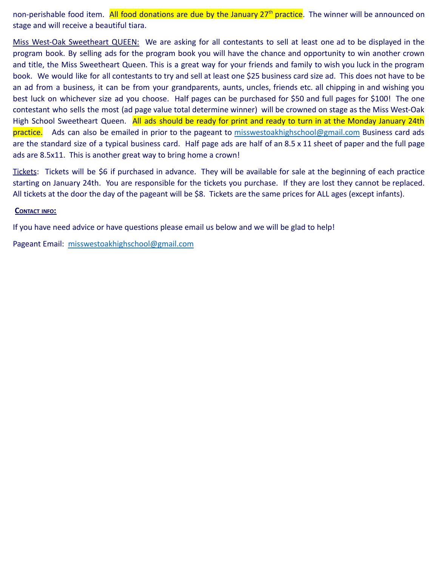non-perishable food item. All food donations are due by the January 27<sup>th</sup> practice. The winner will be announced on stage and will receive a beautiful tiara.

Miss West-Oak Sweetheart QUEEN: We are asking for all contestants to sell at least one ad to be displayed in the program book. By selling ads for the program book you will have the chance and opportunity to win another crown and title, the Miss Sweetheart Queen. This is a great way for your friends and family to wish you luck in the program book. We would like for all contestants to try and sell at least one \$25 business card size ad. This does not have to be an ad from a business, it can be from your grandparents, aunts, uncles, friends etc. all chipping in and wishing you best luck on whichever size ad you choose. Half pages can be purchased for \$50 and full pages for \$100! The one contestant who sells the most (ad page value total determine winner) will be crowned on stage as the Miss West-Oak High School Sweetheart Queen. All ads should be ready for print and ready to turn in at the Monday January 24th practice. Ads can also be emailed in prior to the pageant to [misswestoakhighschool@gmail.com](mailto:misswestoakhighschool@gmail.com) Business card ads are the standard size of a typical business card. Half page ads are half of an 8.5 x 11 sheet of paper and the full page ads are 8.5x11. This is another great way to bring home a crown!

Tickets: Tickets will be \$6 if purchased in advance. They will be available for sale at the beginning of each practice starting on January 24th. You are responsible for the tickets you purchase. If they are lost they cannot be replaced. All tickets at the door the day of the pageant will be \$8. Tickets are the same prices for ALL ages (except infants).

#### **CONTACT INFO:**

If you have need advice or have questions please email us below and we will be glad to help!

Pageant Email: [misswestoakhighschool@gmail.com](mailto:misswestoakhighschool@gmail.com)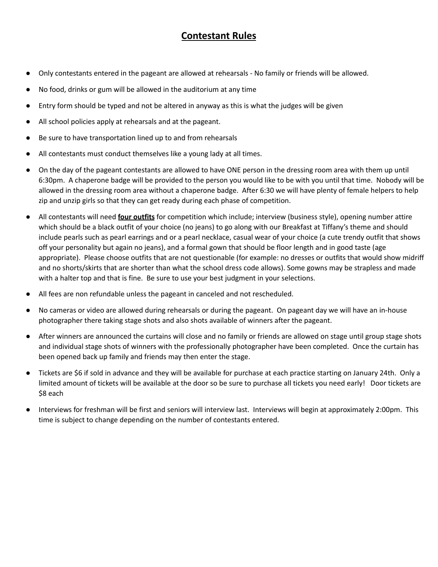### **Contestant Rules**

- Only contestants entered in the pageant are allowed at rehearsals No family or friends will be allowed.
- No food, drinks or gum will be allowed in the auditorium at any time
- Entry form should be typed and not be altered in anyway as this is what the judges will be given
- All school policies apply at rehearsals and at the pageant.
- Be sure to have transportation lined up to and from rehearsals
- All contestants must conduct themselves like a young lady at all times.
- On the day of the pageant contestants are allowed to have ONE person in the dressing room area with them up until 6:30pm. A chaperone badge will be provided to the person you would like to be with you until that time. Nobody will be allowed in the dressing room area without a chaperone badge. After 6:30 we will have plenty of female helpers to help zip and unzip girls so that they can get ready during each phase of competition.
- All contestants will need **four outfits** for competition which include; interview (business style), opening number attire which should be a black outfit of your choice (no jeans) to go along with our Breakfast at Tiffany's theme and should include pearls such as pearl earrings and or a pearl necklace, casual wear of your choice (a cute trendy outfit that shows off your personality but again no jeans), and a formal gown that should be floor length and in good taste (age appropriate). Please choose outfits that are not questionable (for example: no dresses or outfits that would show midriff and no shorts/skirts that are shorter than what the school dress code allows). Some gowns may be strapless and made with a halter top and that is fine. Be sure to use your best judgment in your selections.
- All fees are non refundable unless the pageant in canceled and not rescheduled.
- No cameras or video are allowed during rehearsals or during the pageant. On pageant day we will have an in-house photographer there taking stage shots and also shots available of winners after the pageant.
- After winners are announced the curtains will close and no family or friends are allowed on stage until group stage shots and individual stage shots of winners with the professionally photographer have been completed. Once the curtain has been opened back up family and friends may then enter the stage.
- Tickets are \$6 if sold in advance and they will be available for purchase at each practice starting on January 24th. Only a limited amount of tickets will be available at the door so be sure to purchase all tickets you need early! Door tickets are \$8 each
- Interviews for freshman will be first and seniors will interview last. Interviews will begin at approximately 2:00pm. This time is subject to change depending on the number of contestants entered.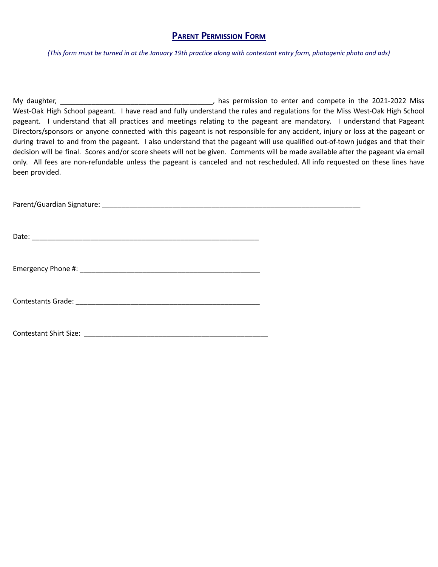### **PARENT PERMISSION FORM**

(This form must be turned in at the January 19th practice along with contestant entry form, photogenic photo and ads)

My daughter, \_\_\_\_\_\_\_\_\_\_\_\_\_\_\_\_\_\_\_\_\_\_\_\_\_\_\_\_\_\_\_\_\_\_\_\_\_\_\_, has permission to enter and compete in the 2021-2022 Miss West-Oak High School pageant. I have read and fully understand the rules and regulations for the Miss West-Oak High School pageant. I understand that all practices and meetings relating to the pageant are mandatory. I understand that Pageant Directors/sponsors or anyone connected with this pageant is not responsible for any accident, injury or loss at the pageant or during travel to and from the pageant. I also understand that the pageant will use qualified out-of-town judges and that their decision will be final. Scores and/or score sheets will not be given. Comments will be made available after the pageant via email only. All fees are non-refundable unless the pageant is canceled and not rescheduled. All info requested on these lines have been provided.

Parent/Guardian Signature: \_\_\_\_\_\_\_\_\_\_\_\_\_\_\_\_\_\_\_\_\_\_\_\_\_\_\_\_\_\_\_\_\_\_\_\_\_\_\_\_\_\_\_\_\_\_\_\_\_\_\_\_\_\_\_\_\_\_\_\_\_\_\_\_\_\_

Date:  $\Box$ 

Emergency Phone #:

Contestants Grade: \_\_\_\_\_\_\_\_\_\_\_\_\_\_\_\_\_\_\_\_\_\_\_\_\_\_\_\_\_\_\_\_\_\_\_\_\_\_\_\_\_\_\_\_\_\_\_

Contestant Shirt Size: \_\_\_\_\_\_\_\_\_\_\_\_\_\_\_\_\_\_\_\_\_\_\_\_\_\_\_\_\_\_\_\_\_\_\_\_\_\_\_\_\_\_\_\_\_\_\_